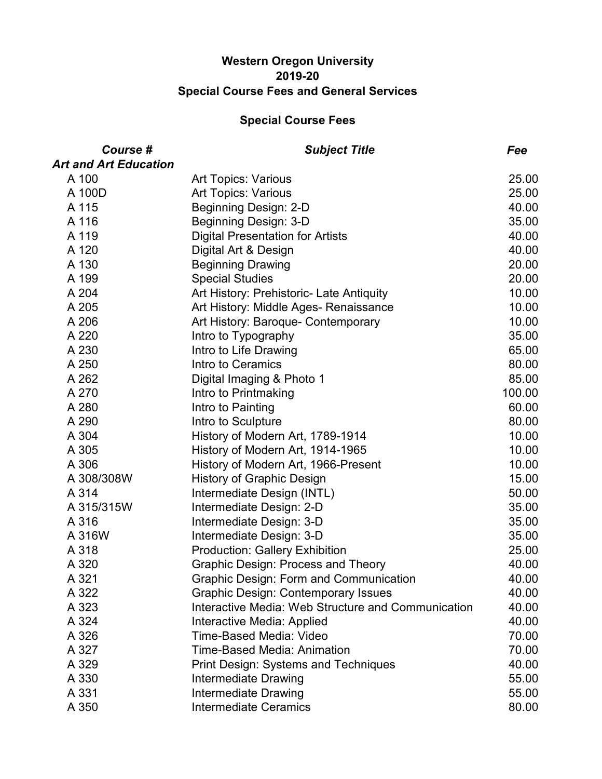### **Western Oregon University 2019-20 Special Course Fees and General Services**

| Course #                     | <b>Subject Title</b>                               | Fee    |
|------------------------------|----------------------------------------------------|--------|
| <b>Art and Art Education</b> |                                                    |        |
| A 100                        | <b>Art Topics: Various</b>                         | 25.00  |
| A 100D                       | <b>Art Topics: Various</b>                         | 25.00  |
| A 115                        | Beginning Design: 2-D                              | 40.00  |
| A 116                        | Beginning Design: 3-D                              | 35.00  |
| A 119                        | <b>Digital Presentation for Artists</b>            | 40.00  |
| A 120                        | Digital Art & Design                               | 40.00  |
| A 130                        | <b>Beginning Drawing</b>                           | 20.00  |
| A 199                        | <b>Special Studies</b>                             | 20.00  |
| A 204                        | Art History: Prehistoric- Late Antiquity           | 10.00  |
| A 205                        | Art History: Middle Ages- Renaissance              | 10.00  |
| A 206                        | Art History: Baroque- Contemporary                 | 10.00  |
| A 220                        | Intro to Typography                                | 35.00  |
| A 230                        | Intro to Life Drawing                              | 65.00  |
| A 250                        | Intro to Ceramics                                  | 80.00  |
| A 262                        | Digital Imaging & Photo 1                          | 85.00  |
| A 270                        | Intro to Printmaking                               | 100.00 |
| A 280                        | Intro to Painting                                  | 60.00  |
| A 290                        | Intro to Sculpture                                 | 80.00  |
| A 304                        | History of Modern Art, 1789-1914                   | 10.00  |
| A 305                        | History of Modern Art, 1914-1965                   | 10.00  |
| A 306                        | History of Modern Art, 1966-Present                | 10.00  |
| A 308/308W                   | <b>History of Graphic Design</b>                   | 15.00  |
| A 314                        | Intermediate Design (INTL)                         | 50.00  |
| A 315/315W                   | Intermediate Design: 2-D                           | 35.00  |
| A 316                        | Intermediate Design: 3-D                           | 35.00  |
| A 316W                       | Intermediate Design: 3-D                           | 35.00  |
| A 318                        | <b>Production: Gallery Exhibition</b>              | 25.00  |
| A 320                        | <b>Graphic Design: Process and Theory</b>          | 40.00  |
| A 321                        | <b>Graphic Design: Form and Communication</b>      | 40.00  |
| A 322                        | <b>Graphic Design: Contemporary Issues</b>         | 40.00  |
| A 323                        | Interactive Media: Web Structure and Communication | 40.00  |
| A 324                        | Interactive Media: Applied                         | 40.00  |
| A 326                        | <b>Time-Based Media: Video</b>                     | 70.00  |
| A 327                        | <b>Time-Based Media: Animation</b>                 | 70.00  |
| A 329                        | <b>Print Design: Systems and Techniques</b>        | 40.00  |
| A 330                        | Intermediate Drawing                               | 55.00  |
| A 331                        | <b>Intermediate Drawing</b>                        | 55.00  |
| A 350                        | <b>Intermediate Ceramics</b>                       | 80.00  |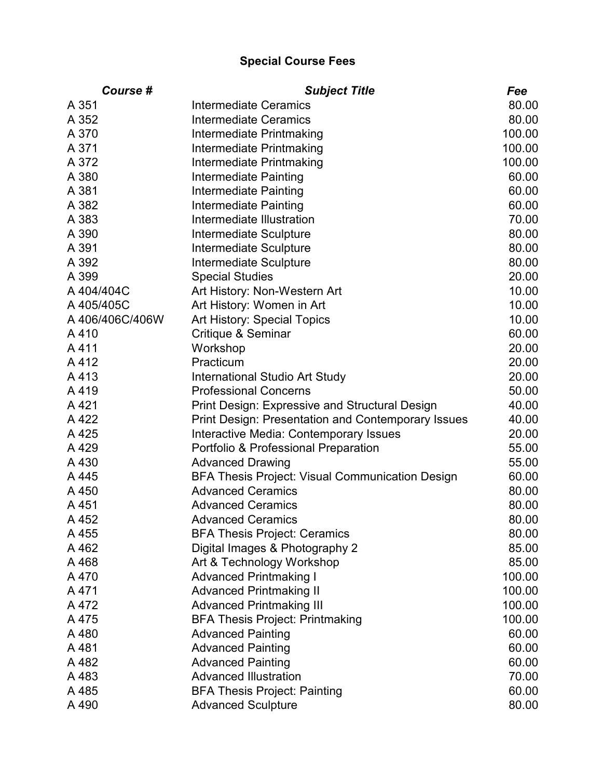| Course #        | <b>Subject Title</b>                                      | Fee    |
|-----------------|-----------------------------------------------------------|--------|
| A 351           | Intermediate Ceramics                                     | 80.00  |
| A 352           | <b>Intermediate Ceramics</b>                              | 80.00  |
| A 370           | Intermediate Printmaking                                  | 100.00 |
| A 371           | Intermediate Printmaking                                  | 100.00 |
| A 372           | Intermediate Printmaking                                  | 100.00 |
| A 380           | Intermediate Painting                                     | 60.00  |
| A 381           | Intermediate Painting                                     | 60.00  |
| A 382           | Intermediate Painting                                     | 60.00  |
| A 383           | Intermediate Illustration                                 | 70.00  |
| A 390           | Intermediate Sculpture                                    | 80.00  |
| A 391           | Intermediate Sculpture                                    | 80.00  |
| A 392           | Intermediate Sculpture                                    | 80.00  |
| A 399           | <b>Special Studies</b>                                    | 20.00  |
| A 404/404C      | Art History: Non-Western Art                              | 10.00  |
| A 405/405C      | Art History: Women in Art                                 | 10.00  |
| A 406/406C/406W | Art History: Special Topics                               | 10.00  |
| A410            | Critique & Seminar                                        | 60.00  |
| A411            | Workshop                                                  | 20.00  |
| A412            | Practicum                                                 | 20.00  |
| A413            | <b>International Studio Art Study</b>                     | 20.00  |
| A419            | <b>Professional Concerns</b>                              | 50.00  |
| A 421           | <b>Print Design: Expressive and Structural Design</b>     | 40.00  |
| A 422           | <b>Print Design: Presentation and Contemporary Issues</b> | 40.00  |
| A 425           | Interactive Media: Contemporary Issues                    | 20.00  |
| A 429           | Portfolio & Professional Preparation                      | 55.00  |
| A 430           | <b>Advanced Drawing</b>                                   | 55.00  |
| A 445           | <b>BFA Thesis Project: Visual Communication Design</b>    | 60.00  |
| A 450           | <b>Advanced Ceramics</b>                                  | 80.00  |
| A 451           | <b>Advanced Ceramics</b>                                  | 80.00  |
| A 452           | <b>Advanced Ceramics</b>                                  | 80.00  |
| A 455           | <b>BFA Thesis Project: Ceramics</b>                       | 80.00  |
| A 462           | Digital Images & Photography 2                            | 85.00  |
| A 468           | Art & Technology Workshop                                 | 85.00  |
| A 470           | <b>Advanced Printmaking I</b>                             | 100.00 |
| A 471           | <b>Advanced Printmaking II</b>                            | 100.00 |
| A 472           | <b>Advanced Printmaking III</b>                           | 100.00 |
| A 475           | <b>BFA Thesis Project: Printmaking</b>                    | 100.00 |
| A480            | <b>Advanced Painting</b>                                  | 60.00  |
| A481            | <b>Advanced Painting</b>                                  | 60.00  |
| A 482           | <b>Advanced Painting</b>                                  | 60.00  |
| A 483           | <b>Advanced Illustration</b>                              | 70.00  |
| A 485           | <b>BFA Thesis Project: Painting</b>                       | 60.00  |
| A 490           | <b>Advanced Sculpture</b>                                 | 80.00  |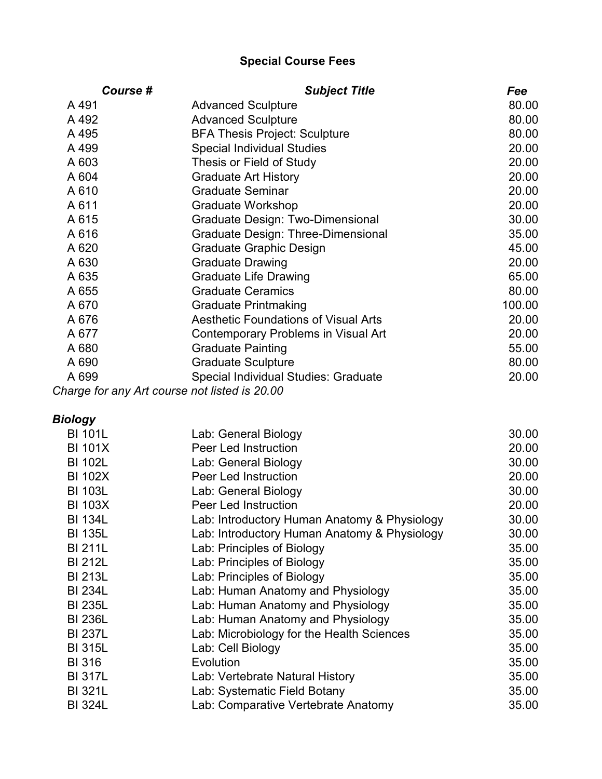| Course # | <b>Subject Title</b>                         | Fee    |
|----------|----------------------------------------------|--------|
| A 491    | <b>Advanced Sculpture</b>                    | 80.00  |
| A 492    | <b>Advanced Sculpture</b>                    | 80.00  |
| A 495    | <b>BFA Thesis Project: Sculpture</b>         | 80.00  |
| A 499    | <b>Special Individual Studies</b>            | 20.00  |
| A 603    | Thesis or Field of Study                     | 20.00  |
| A 604    | <b>Graduate Art History</b>                  | 20.00  |
| A 610    | <b>Graduate Seminar</b>                      | 20.00  |
| A 611    | Graduate Workshop                            | 20.00  |
| A 615    | Graduate Design: Two-Dimensional             | 30.00  |
| A 616    | Graduate Design: Three-Dimensional           | 35.00  |
| A 620    | <b>Graduate Graphic Design</b>               | 45.00  |
| A 630    | <b>Graduate Drawing</b>                      | 20.00  |
| A 635    | <b>Graduate Life Drawing</b>                 | 65.00  |
| A 655    | <b>Graduate Ceramics</b>                     | 80.00  |
| A 670    | <b>Graduate Printmaking</b>                  | 100.00 |
| A 676    | <b>Aesthetic Foundations of Visual Arts</b>  | 20.00  |
| A 677    | Contemporary Problems in Visual Art          | 20.00  |
| A 680    | <b>Graduate Painting</b>                     | 55.00  |
| A 690    | <b>Graduate Sculpture</b>                    | 80.00  |
| A 699    | Special Individual Studies: Graduate         | 20.00  |
|          | harge for any Art course not listed is 20 00 |        |

*Charge for any Art course not listed is 20.00*

# *Biology*

| <b>BI 101L</b> | Lab: General Biology                         | 30.00 |
|----------------|----------------------------------------------|-------|
| <b>BI 101X</b> | <b>Peer Led Instruction</b>                  | 20.00 |
| <b>BI 102L</b> | Lab: General Biology                         | 30.00 |
| <b>BI 102X</b> | Peer Led Instruction                         | 20.00 |
| <b>BI 103L</b> | Lab: General Biology                         | 30.00 |
| <b>BI 103X</b> | <b>Peer Led Instruction</b>                  | 20.00 |
| <b>BI 134L</b> | Lab: Introductory Human Anatomy & Physiology | 30.00 |
| <b>BI 135L</b> | Lab: Introductory Human Anatomy & Physiology | 30.00 |
| <b>BI 211L</b> | Lab: Principles of Biology                   | 35.00 |
| <b>BI 212L</b> | Lab: Principles of Biology                   | 35.00 |
| <b>BI 213L</b> | Lab: Principles of Biology                   | 35.00 |
| <b>BI 234L</b> | Lab: Human Anatomy and Physiology            | 35.00 |
| <b>BI 235L</b> | Lab: Human Anatomy and Physiology            | 35.00 |
| <b>BI 236L</b> | Lab: Human Anatomy and Physiology            | 35.00 |
| <b>BI 237L</b> | Lab: Microbiology for the Health Sciences    | 35.00 |
| <b>BI 315L</b> | Lab: Cell Biology                            | 35.00 |
| <b>BI 316</b>  | Evolution                                    | 35.00 |
| <b>BI317L</b>  | Lab: Vertebrate Natural History              | 35.00 |
| <b>BI 321L</b> | Lab: Systematic Field Botany                 | 35.00 |
| <b>BI 324L</b> | Lab: Comparative Vertebrate Anatomy          | 35.00 |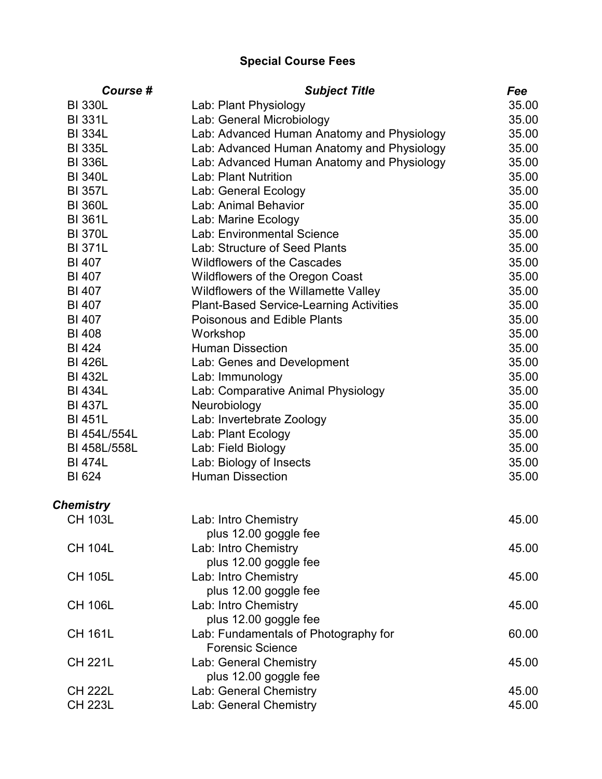| <b>BI 330L</b><br>35.00<br>Lab: Plant Physiology<br><b>BI 331L</b><br>Lab: General Microbiology<br>35.00<br><b>BI 334L</b><br>Lab: Advanced Human Anatomy and Physiology<br>35.00<br><b>BI 335L</b><br>Lab: Advanced Human Anatomy and Physiology<br>35.00<br>Lab: Advanced Human Anatomy and Physiology<br><b>BI 336L</b><br>35.00<br><b>BI 340L</b><br>Lab: Plant Nutrition<br>35.00<br><b>BI 357L</b><br>Lab: General Ecology<br>35.00<br>Lab: Animal Behavior<br><b>BI 360L</b><br>35.00<br><b>BI 361L</b><br>35.00<br>Lab: Marine Ecology<br>Lab: Environmental Science<br>35.00<br><b>BI 370L</b><br><b>BI 371L</b><br>Lab: Structure of Seed Plants<br>35.00<br><b>BI 407</b><br><b>Wildflowers of the Cascades</b><br>35.00<br><b>BI 407</b><br>35.00<br><b>Wildflowers of the Oregon Coast</b><br><b>BI 407</b><br>Wildflowers of the Willamette Valley<br>35.00<br><b>BI 407</b><br><b>Plant-Based Service-Learning Activities</b><br>35.00<br>35.00<br><b>BI 407</b><br><b>Poisonous and Edible Plants</b><br>35.00<br><b>BI 408</b><br>Workshop<br><b>BI 424</b><br><b>Human Dissection</b><br>35.00<br><b>BI 426L</b><br>Lab: Genes and Development<br>35.00<br><b>BI 432L</b><br>35.00<br>Lab: Immunology<br><b>BI 434L</b><br>Lab: Comparative Animal Physiology<br>35.00<br><b>BI 437L</b><br>Neurobiology<br>35.00<br><b>BI 451L</b><br>35.00<br>Lab: Invertebrate Zoology<br>BI 454L/554L<br>Lab: Plant Ecology<br>35.00<br>Lab: Field Biology<br>BI 458L/558L<br>35.00<br><b>BI 474L</b><br>Lab: Biology of Insects<br>35.00<br><b>Human Dissection</b><br><b>BI 624</b><br>35.00<br><b>Chemistry</b><br><b>CH 103L</b><br>Lab: Intro Chemistry<br>45.00<br>plus 12.00 goggle fee<br><b>CH 104L</b><br>Lab: Intro Chemistry<br>45.00<br>plus 12.00 goggle fee<br><b>CH 105L</b><br>Lab: Intro Chemistry<br>45.00<br>plus 12.00 goggle fee<br><b>CH 106L</b><br>Lab: Intro Chemistry<br>45.00<br>plus 12.00 goggle fee<br><b>CH 161L</b><br>60.00<br>Lab: Fundamentals of Photography for<br><b>Forensic Science</b><br><b>CH 221L</b><br>Lab: General Chemistry<br>45.00<br>plus 12.00 goggle fee<br><b>CH 222L</b><br>Lab: General Chemistry<br>45.00 | Course #       | <b>Subject Title</b>   | Fee   |
|---------------------------------------------------------------------------------------------------------------------------------------------------------------------------------------------------------------------------------------------------------------------------------------------------------------------------------------------------------------------------------------------------------------------------------------------------------------------------------------------------------------------------------------------------------------------------------------------------------------------------------------------------------------------------------------------------------------------------------------------------------------------------------------------------------------------------------------------------------------------------------------------------------------------------------------------------------------------------------------------------------------------------------------------------------------------------------------------------------------------------------------------------------------------------------------------------------------------------------------------------------------------------------------------------------------------------------------------------------------------------------------------------------------------------------------------------------------------------------------------------------------------------------------------------------------------------------------------------------------------------------------------------------------------------------------------------------------------------------------------------------------------------------------------------------------------------------------------------------------------------------------------------------------------------------------------------------------------------------------------------------------------------------------------------------------------------------------------------------------------------------------------------------------------------|----------------|------------------------|-------|
|                                                                                                                                                                                                                                                                                                                                                                                                                                                                                                                                                                                                                                                                                                                                                                                                                                                                                                                                                                                                                                                                                                                                                                                                                                                                                                                                                                                                                                                                                                                                                                                                                                                                                                                                                                                                                                                                                                                                                                                                                                                                                                                                                                           |                |                        |       |
|                                                                                                                                                                                                                                                                                                                                                                                                                                                                                                                                                                                                                                                                                                                                                                                                                                                                                                                                                                                                                                                                                                                                                                                                                                                                                                                                                                                                                                                                                                                                                                                                                                                                                                                                                                                                                                                                                                                                                                                                                                                                                                                                                                           |                |                        |       |
|                                                                                                                                                                                                                                                                                                                                                                                                                                                                                                                                                                                                                                                                                                                                                                                                                                                                                                                                                                                                                                                                                                                                                                                                                                                                                                                                                                                                                                                                                                                                                                                                                                                                                                                                                                                                                                                                                                                                                                                                                                                                                                                                                                           |                |                        |       |
|                                                                                                                                                                                                                                                                                                                                                                                                                                                                                                                                                                                                                                                                                                                                                                                                                                                                                                                                                                                                                                                                                                                                                                                                                                                                                                                                                                                                                                                                                                                                                                                                                                                                                                                                                                                                                                                                                                                                                                                                                                                                                                                                                                           |                |                        |       |
|                                                                                                                                                                                                                                                                                                                                                                                                                                                                                                                                                                                                                                                                                                                                                                                                                                                                                                                                                                                                                                                                                                                                                                                                                                                                                                                                                                                                                                                                                                                                                                                                                                                                                                                                                                                                                                                                                                                                                                                                                                                                                                                                                                           |                |                        |       |
|                                                                                                                                                                                                                                                                                                                                                                                                                                                                                                                                                                                                                                                                                                                                                                                                                                                                                                                                                                                                                                                                                                                                                                                                                                                                                                                                                                                                                                                                                                                                                                                                                                                                                                                                                                                                                                                                                                                                                                                                                                                                                                                                                                           |                |                        |       |
|                                                                                                                                                                                                                                                                                                                                                                                                                                                                                                                                                                                                                                                                                                                                                                                                                                                                                                                                                                                                                                                                                                                                                                                                                                                                                                                                                                                                                                                                                                                                                                                                                                                                                                                                                                                                                                                                                                                                                                                                                                                                                                                                                                           |                |                        |       |
|                                                                                                                                                                                                                                                                                                                                                                                                                                                                                                                                                                                                                                                                                                                                                                                                                                                                                                                                                                                                                                                                                                                                                                                                                                                                                                                                                                                                                                                                                                                                                                                                                                                                                                                                                                                                                                                                                                                                                                                                                                                                                                                                                                           |                |                        |       |
|                                                                                                                                                                                                                                                                                                                                                                                                                                                                                                                                                                                                                                                                                                                                                                                                                                                                                                                                                                                                                                                                                                                                                                                                                                                                                                                                                                                                                                                                                                                                                                                                                                                                                                                                                                                                                                                                                                                                                                                                                                                                                                                                                                           |                |                        |       |
|                                                                                                                                                                                                                                                                                                                                                                                                                                                                                                                                                                                                                                                                                                                                                                                                                                                                                                                                                                                                                                                                                                                                                                                                                                                                                                                                                                                                                                                                                                                                                                                                                                                                                                                                                                                                                                                                                                                                                                                                                                                                                                                                                                           |                |                        |       |
|                                                                                                                                                                                                                                                                                                                                                                                                                                                                                                                                                                                                                                                                                                                                                                                                                                                                                                                                                                                                                                                                                                                                                                                                                                                                                                                                                                                                                                                                                                                                                                                                                                                                                                                                                                                                                                                                                                                                                                                                                                                                                                                                                                           |                |                        |       |
|                                                                                                                                                                                                                                                                                                                                                                                                                                                                                                                                                                                                                                                                                                                                                                                                                                                                                                                                                                                                                                                                                                                                                                                                                                                                                                                                                                                                                                                                                                                                                                                                                                                                                                                                                                                                                                                                                                                                                                                                                                                                                                                                                                           |                |                        |       |
|                                                                                                                                                                                                                                                                                                                                                                                                                                                                                                                                                                                                                                                                                                                                                                                                                                                                                                                                                                                                                                                                                                                                                                                                                                                                                                                                                                                                                                                                                                                                                                                                                                                                                                                                                                                                                                                                                                                                                                                                                                                                                                                                                                           |                |                        |       |
|                                                                                                                                                                                                                                                                                                                                                                                                                                                                                                                                                                                                                                                                                                                                                                                                                                                                                                                                                                                                                                                                                                                                                                                                                                                                                                                                                                                                                                                                                                                                                                                                                                                                                                                                                                                                                                                                                                                                                                                                                                                                                                                                                                           |                |                        |       |
|                                                                                                                                                                                                                                                                                                                                                                                                                                                                                                                                                                                                                                                                                                                                                                                                                                                                                                                                                                                                                                                                                                                                                                                                                                                                                                                                                                                                                                                                                                                                                                                                                                                                                                                                                                                                                                                                                                                                                                                                                                                                                                                                                                           |                |                        |       |
|                                                                                                                                                                                                                                                                                                                                                                                                                                                                                                                                                                                                                                                                                                                                                                                                                                                                                                                                                                                                                                                                                                                                                                                                                                                                                                                                                                                                                                                                                                                                                                                                                                                                                                                                                                                                                                                                                                                                                                                                                                                                                                                                                                           |                |                        |       |
|                                                                                                                                                                                                                                                                                                                                                                                                                                                                                                                                                                                                                                                                                                                                                                                                                                                                                                                                                                                                                                                                                                                                                                                                                                                                                                                                                                                                                                                                                                                                                                                                                                                                                                                                                                                                                                                                                                                                                                                                                                                                                                                                                                           |                |                        |       |
|                                                                                                                                                                                                                                                                                                                                                                                                                                                                                                                                                                                                                                                                                                                                                                                                                                                                                                                                                                                                                                                                                                                                                                                                                                                                                                                                                                                                                                                                                                                                                                                                                                                                                                                                                                                                                                                                                                                                                                                                                                                                                                                                                                           |                |                        |       |
|                                                                                                                                                                                                                                                                                                                                                                                                                                                                                                                                                                                                                                                                                                                                                                                                                                                                                                                                                                                                                                                                                                                                                                                                                                                                                                                                                                                                                                                                                                                                                                                                                                                                                                                                                                                                                                                                                                                                                                                                                                                                                                                                                                           |                |                        |       |
|                                                                                                                                                                                                                                                                                                                                                                                                                                                                                                                                                                                                                                                                                                                                                                                                                                                                                                                                                                                                                                                                                                                                                                                                                                                                                                                                                                                                                                                                                                                                                                                                                                                                                                                                                                                                                                                                                                                                                                                                                                                                                                                                                                           |                |                        |       |
|                                                                                                                                                                                                                                                                                                                                                                                                                                                                                                                                                                                                                                                                                                                                                                                                                                                                                                                                                                                                                                                                                                                                                                                                                                                                                                                                                                                                                                                                                                                                                                                                                                                                                                                                                                                                                                                                                                                                                                                                                                                                                                                                                                           |                |                        |       |
|                                                                                                                                                                                                                                                                                                                                                                                                                                                                                                                                                                                                                                                                                                                                                                                                                                                                                                                                                                                                                                                                                                                                                                                                                                                                                                                                                                                                                                                                                                                                                                                                                                                                                                                                                                                                                                                                                                                                                                                                                                                                                                                                                                           |                |                        |       |
|                                                                                                                                                                                                                                                                                                                                                                                                                                                                                                                                                                                                                                                                                                                                                                                                                                                                                                                                                                                                                                                                                                                                                                                                                                                                                                                                                                                                                                                                                                                                                                                                                                                                                                                                                                                                                                                                                                                                                                                                                                                                                                                                                                           |                |                        |       |
|                                                                                                                                                                                                                                                                                                                                                                                                                                                                                                                                                                                                                                                                                                                                                                                                                                                                                                                                                                                                                                                                                                                                                                                                                                                                                                                                                                                                                                                                                                                                                                                                                                                                                                                                                                                                                                                                                                                                                                                                                                                                                                                                                                           |                |                        |       |
|                                                                                                                                                                                                                                                                                                                                                                                                                                                                                                                                                                                                                                                                                                                                                                                                                                                                                                                                                                                                                                                                                                                                                                                                                                                                                                                                                                                                                                                                                                                                                                                                                                                                                                                                                                                                                                                                                                                                                                                                                                                                                                                                                                           |                |                        |       |
|                                                                                                                                                                                                                                                                                                                                                                                                                                                                                                                                                                                                                                                                                                                                                                                                                                                                                                                                                                                                                                                                                                                                                                                                                                                                                                                                                                                                                                                                                                                                                                                                                                                                                                                                                                                                                                                                                                                                                                                                                                                                                                                                                                           |                |                        |       |
|                                                                                                                                                                                                                                                                                                                                                                                                                                                                                                                                                                                                                                                                                                                                                                                                                                                                                                                                                                                                                                                                                                                                                                                                                                                                                                                                                                                                                                                                                                                                                                                                                                                                                                                                                                                                                                                                                                                                                                                                                                                                                                                                                                           |                |                        |       |
|                                                                                                                                                                                                                                                                                                                                                                                                                                                                                                                                                                                                                                                                                                                                                                                                                                                                                                                                                                                                                                                                                                                                                                                                                                                                                                                                                                                                                                                                                                                                                                                                                                                                                                                                                                                                                                                                                                                                                                                                                                                                                                                                                                           |                |                        |       |
|                                                                                                                                                                                                                                                                                                                                                                                                                                                                                                                                                                                                                                                                                                                                                                                                                                                                                                                                                                                                                                                                                                                                                                                                                                                                                                                                                                                                                                                                                                                                                                                                                                                                                                                                                                                                                                                                                                                                                                                                                                                                                                                                                                           |                |                        |       |
|                                                                                                                                                                                                                                                                                                                                                                                                                                                                                                                                                                                                                                                                                                                                                                                                                                                                                                                                                                                                                                                                                                                                                                                                                                                                                                                                                                                                                                                                                                                                                                                                                                                                                                                                                                                                                                                                                                                                                                                                                                                                                                                                                                           |                |                        |       |
|                                                                                                                                                                                                                                                                                                                                                                                                                                                                                                                                                                                                                                                                                                                                                                                                                                                                                                                                                                                                                                                                                                                                                                                                                                                                                                                                                                                                                                                                                                                                                                                                                                                                                                                                                                                                                                                                                                                                                                                                                                                                                                                                                                           |                |                        |       |
|                                                                                                                                                                                                                                                                                                                                                                                                                                                                                                                                                                                                                                                                                                                                                                                                                                                                                                                                                                                                                                                                                                                                                                                                                                                                                                                                                                                                                                                                                                                                                                                                                                                                                                                                                                                                                                                                                                                                                                                                                                                                                                                                                                           |                |                        |       |
|                                                                                                                                                                                                                                                                                                                                                                                                                                                                                                                                                                                                                                                                                                                                                                                                                                                                                                                                                                                                                                                                                                                                                                                                                                                                                                                                                                                                                                                                                                                                                                                                                                                                                                                                                                                                                                                                                                                                                                                                                                                                                                                                                                           |                |                        |       |
|                                                                                                                                                                                                                                                                                                                                                                                                                                                                                                                                                                                                                                                                                                                                                                                                                                                                                                                                                                                                                                                                                                                                                                                                                                                                                                                                                                                                                                                                                                                                                                                                                                                                                                                                                                                                                                                                                                                                                                                                                                                                                                                                                                           |                |                        |       |
|                                                                                                                                                                                                                                                                                                                                                                                                                                                                                                                                                                                                                                                                                                                                                                                                                                                                                                                                                                                                                                                                                                                                                                                                                                                                                                                                                                                                                                                                                                                                                                                                                                                                                                                                                                                                                                                                                                                                                                                                                                                                                                                                                                           |                |                        |       |
|                                                                                                                                                                                                                                                                                                                                                                                                                                                                                                                                                                                                                                                                                                                                                                                                                                                                                                                                                                                                                                                                                                                                                                                                                                                                                                                                                                                                                                                                                                                                                                                                                                                                                                                                                                                                                                                                                                                                                                                                                                                                                                                                                                           |                |                        |       |
|                                                                                                                                                                                                                                                                                                                                                                                                                                                                                                                                                                                                                                                                                                                                                                                                                                                                                                                                                                                                                                                                                                                                                                                                                                                                                                                                                                                                                                                                                                                                                                                                                                                                                                                                                                                                                                                                                                                                                                                                                                                                                                                                                                           |                |                        |       |
|                                                                                                                                                                                                                                                                                                                                                                                                                                                                                                                                                                                                                                                                                                                                                                                                                                                                                                                                                                                                                                                                                                                                                                                                                                                                                                                                                                                                                                                                                                                                                                                                                                                                                                                                                                                                                                                                                                                                                                                                                                                                                                                                                                           |                |                        |       |
|                                                                                                                                                                                                                                                                                                                                                                                                                                                                                                                                                                                                                                                                                                                                                                                                                                                                                                                                                                                                                                                                                                                                                                                                                                                                                                                                                                                                                                                                                                                                                                                                                                                                                                                                                                                                                                                                                                                                                                                                                                                                                                                                                                           |                |                        |       |
|                                                                                                                                                                                                                                                                                                                                                                                                                                                                                                                                                                                                                                                                                                                                                                                                                                                                                                                                                                                                                                                                                                                                                                                                                                                                                                                                                                                                                                                                                                                                                                                                                                                                                                                                                                                                                                                                                                                                                                                                                                                                                                                                                                           |                |                        |       |
|                                                                                                                                                                                                                                                                                                                                                                                                                                                                                                                                                                                                                                                                                                                                                                                                                                                                                                                                                                                                                                                                                                                                                                                                                                                                                                                                                                                                                                                                                                                                                                                                                                                                                                                                                                                                                                                                                                                                                                                                                                                                                                                                                                           | <b>CH 223L</b> | Lab: General Chemistry | 45.00 |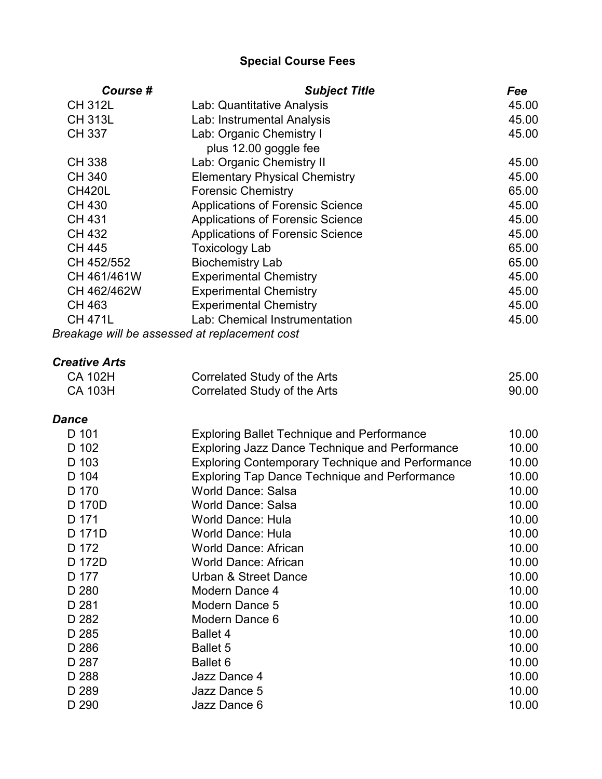| Course #             | <b>Subject Title</b>                                    | <b>Fee</b> |
|----------------------|---------------------------------------------------------|------------|
| <b>CH 312L</b>       | Lab: Quantitative Analysis                              | 45.00      |
| <b>CH 313L</b>       | Lab: Instrumental Analysis                              | 45.00      |
| <b>CH 337</b>        | Lab: Organic Chemistry I                                | 45.00      |
|                      | plus 12.00 goggle fee                                   |            |
| <b>CH 338</b>        | Lab: Organic Chemistry II                               | 45.00      |
| <b>CH 340</b>        | <b>Elementary Physical Chemistry</b>                    | 45.00      |
| <b>CH420L</b>        | <b>Forensic Chemistry</b>                               | 65.00      |
| <b>CH 430</b>        | <b>Applications of Forensic Science</b>                 | 45.00      |
| <b>CH 431</b>        | <b>Applications of Forensic Science</b>                 | 45.00      |
| CH 432               | <b>Applications of Forensic Science</b>                 | 45.00      |
| <b>CH 445</b>        | <b>Toxicology Lab</b>                                   | 65.00      |
| CH 452/552           | <b>Biochemistry Lab</b>                                 | 65.00      |
| CH 461/461W          | <b>Experimental Chemistry</b>                           | 45.00      |
| CH 462/462W          | <b>Experimental Chemistry</b>                           | 45.00      |
| <b>CH 463</b>        | <b>Experimental Chemistry</b>                           | 45.00      |
| <b>CH 471L</b>       | Lab: Chemical Instrumentation                           | 45.00      |
|                      | Breakage will be assessed at replacement cost           |            |
| <b>Creative Arts</b> |                                                         |            |
| <b>CA 102H</b>       | Correlated Study of the Arts                            | 25.00      |
| <b>CA 103H</b>       | Correlated Study of the Arts                            | 90.00      |
| <b>Dance</b>         |                                                         |            |
| D 101                | <b>Exploring Ballet Technique and Performance</b>       | 10.00      |
| D 102                | <b>Exploring Jazz Dance Technique and Performance</b>   | 10.00      |
| D 103                | <b>Exploring Contemporary Technique and Performance</b> | 10.00      |
| D 104                | <b>Exploring Tap Dance Technique and Performance</b>    | 10.00      |
| D 170                | <b>World Dance: Salsa</b>                               | 10.00      |
| D 170D               | <b>World Dance: Salsa</b>                               | 10.00      |
| D 171                | <b>World Dance: Hula</b>                                | 10.00      |
| D 171D               | World Dance: Hula                                       | 10.00      |
| D 172                | <b>World Dance: African</b>                             | 10.00      |
| D 172D               | <b>World Dance: African</b>                             | 10.00      |
| D 177                | <b>Urban &amp; Street Dance</b>                         | 10.00      |
| D 280                | Modern Dance 4                                          | 10.00      |
| D 281                | Modern Dance 5                                          | 10.00      |
| D 282                | Modern Dance 6                                          | 10.00      |
| D 285                | <b>Ballet 4</b>                                         | 10.00      |
| D 286                | <b>Ballet 5</b>                                         | 10.00      |
| D 287                | Ballet 6                                                | 10.00      |
| D 288                | Jazz Dance 4                                            | 10.00      |
| D 289                | Jazz Dance 5                                            | 10.00      |
| D 290                | Jazz Dance 6                                            | 10.00      |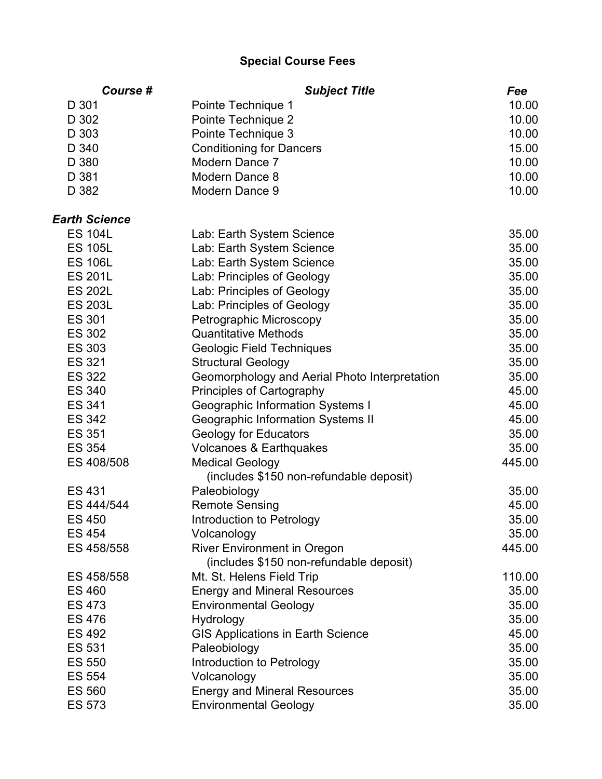| Course #             | <b>Subject Title</b>                          | <b>Fee</b> |
|----------------------|-----------------------------------------------|------------|
| D 301                | Pointe Technique 1                            | 10.00      |
| D 302                | Pointe Technique 2                            | 10.00      |
| D 303                | Pointe Technique 3                            | 10.00      |
| D 340                | <b>Conditioning for Dancers</b>               | 15.00      |
| D 380                | Modern Dance 7                                | 10.00      |
| D 381                | Modern Dance 8                                | 10.00      |
| D 382                | Modern Dance 9                                | 10.00      |
| <b>Earth Science</b> |                                               |            |
| <b>ES 104L</b>       | Lab: Earth System Science                     | 35.00      |
| <b>ES 105L</b>       | Lab: Earth System Science                     | 35.00      |
| <b>ES 106L</b>       | Lab: Earth System Science                     | 35.00      |
| <b>ES 201L</b>       | Lab: Principles of Geology                    | 35.00      |
| <b>ES 202L</b>       | Lab: Principles of Geology                    | 35.00      |
| <b>ES 203L</b>       | Lab: Principles of Geology                    | 35.00      |
| <b>ES 301</b>        | Petrographic Microscopy                       | 35.00      |
| <b>ES 302</b>        | <b>Quantitative Methods</b>                   | 35.00      |
| <b>ES 303</b>        | <b>Geologic Field Techniques</b>              | 35.00      |
| <b>ES 321</b>        | <b>Structural Geology</b>                     | 35.00      |
| <b>ES 322</b>        | Geomorphology and Aerial Photo Interpretation | 35.00      |
| <b>ES 340</b>        | <b>Principles of Cartography</b>              | 45.00      |
| ES 341               | <b>Geographic Information Systems I</b>       | 45.00      |
| <b>ES 342</b>        | Geographic Information Systems II             | 45.00      |
| <b>ES 351</b>        | <b>Geology for Educators</b>                  | 35.00      |
| <b>ES 354</b>        | Volcanoes & Earthquakes                       | 35.00      |
| ES 408/508           | <b>Medical Geology</b>                        | 445.00     |
|                      | (includes \$150 non-refundable deposit)       |            |
| <b>ES 431</b>        | Paleobiology                                  | 35.00      |
| ES 444/544           | <b>Remote Sensing</b>                         | 45.00      |
| <b>ES 450</b>        | Introduction to Petrology                     | 35.00      |
| <b>ES 454</b>        | Volcanology                                   | 35.00      |
| ES 458/558           | <b>River Environment in Oregon</b>            | 445.00     |
|                      | (includes \$150 non-refundable deposit)       |            |
| ES 458/558           | Mt. St. Helens Field Trip                     | 110.00     |
| <b>ES 460</b>        | <b>Energy and Mineral Resources</b>           | 35.00      |
| ES 473               | <b>Environmental Geology</b>                  | 35.00      |
| <b>ES 476</b>        | Hydrology                                     | 35.00      |
| ES 492               | <b>GIS Applications in Earth Science</b>      | 45.00      |
| <b>ES 531</b>        | Paleobiology                                  | 35.00      |
| <b>ES 550</b>        | Introduction to Petrology                     | 35.00      |
| ES 554               | Volcanology                                   | 35.00      |
| <b>ES 560</b>        | <b>Energy and Mineral Resources</b>           | 35.00      |
| <b>ES 573</b>        | <b>Environmental Geology</b>                  | 35.00      |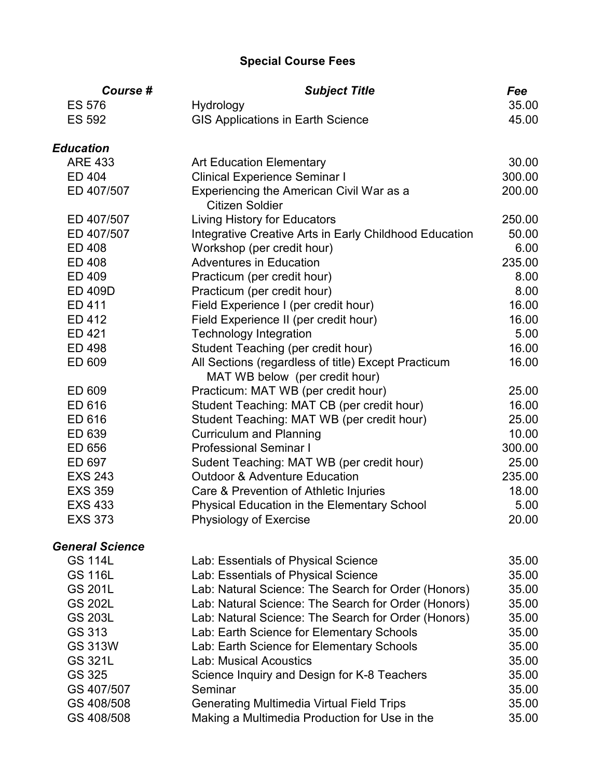| Course #               | <b>Subject Title</b>                                                                  | Fee    |
|------------------------|---------------------------------------------------------------------------------------|--------|
| <b>ES 576</b>          | Hydrology                                                                             | 35.00  |
| <b>ES 592</b>          | <b>GIS Applications in Earth Science</b>                                              | 45.00  |
| <b>Education</b>       |                                                                                       |        |
| <b>ARE 433</b>         | <b>Art Education Elementary</b>                                                       | 30.00  |
| ED 404                 | <b>Clinical Experience Seminar I</b>                                                  | 300.00 |
| ED 407/507             | Experiencing the American Civil War as a<br>Citizen Soldier                           | 200.00 |
| ED 407/507             | Living History for Educators                                                          | 250.00 |
| ED 407/507             | Integrative Creative Arts in Early Childhood Education                                | 50.00  |
| ED 408                 | Workshop (per credit hour)                                                            | 6.00   |
| ED 408                 | <b>Adventures in Education</b>                                                        | 235.00 |
| ED 409                 | Practicum (per credit hour)                                                           | 8.00   |
| <b>ED 409D</b>         | Practicum (per credit hour)                                                           | 8.00   |
| ED 411                 | Field Experience I (per credit hour)                                                  | 16.00  |
| ED 412                 | Field Experience II (per credit hour)                                                 | 16.00  |
| ED 421                 | <b>Technology Integration</b>                                                         | 5.00   |
| ED 498                 | Student Teaching (per credit hour)                                                    | 16.00  |
| ED 609                 | All Sections (regardless of title) Except Practicum<br>MAT WB below (per credit hour) | 16.00  |
| ED 609                 | Practicum: MAT WB (per credit hour)                                                   | 25.00  |
| ED 616                 | Student Teaching: MAT CB (per credit hour)                                            | 16.00  |
| ED 616                 | Student Teaching: MAT WB (per credit hour)                                            | 25.00  |
| ED 639                 | <b>Curriculum and Planning</b>                                                        | 10.00  |
| ED 656                 | <b>Professional Seminar I</b>                                                         | 300.00 |
| ED 697                 | Sudent Teaching: MAT WB (per credit hour)                                             | 25.00  |
| <b>EXS 243</b>         | <b>Outdoor &amp; Adventure Education</b>                                              | 235.00 |
| <b>EXS 359</b>         | Care & Prevention of Athletic Injuries                                                | 18.00  |
| <b>EXS 433</b>         | Physical Education in the Elementary School                                           | 5.00   |
| <b>EXS 373</b>         | <b>Physiology of Exercise</b>                                                         | 20.00  |
| <b>General Science</b> |                                                                                       |        |
| <b>GS 114L</b>         | Lab: Essentials of Physical Science                                                   | 35.00  |
| <b>GS 116L</b>         | Lab: Essentials of Physical Science                                                   | 35.00  |
| <b>GS 201L</b>         | Lab: Natural Science: The Search for Order (Honors)                                   | 35.00  |
| <b>GS 202L</b>         | Lab: Natural Science: The Search for Order (Honors)                                   | 35.00  |
| <b>GS 203L</b>         | Lab: Natural Science: The Search for Order (Honors)                                   | 35.00  |
| GS 313                 | Lab: Earth Science for Elementary Schools                                             | 35.00  |
| <b>GS 313W</b>         | Lab: Earth Science for Elementary Schools                                             | 35.00  |
| <b>GS 321L</b>         | <b>Lab: Musical Acoustics</b>                                                         | 35.00  |
| GS 325                 | Science Inquiry and Design for K-8 Teachers                                           | 35.00  |
| GS 407/507             | Seminar                                                                               | 35.00  |
| GS 408/508             | <b>Generating Multimedia Virtual Field Trips</b>                                      | 35.00  |
| GS 408/508             | Making a Multimedia Production for Use in the                                         | 35.00  |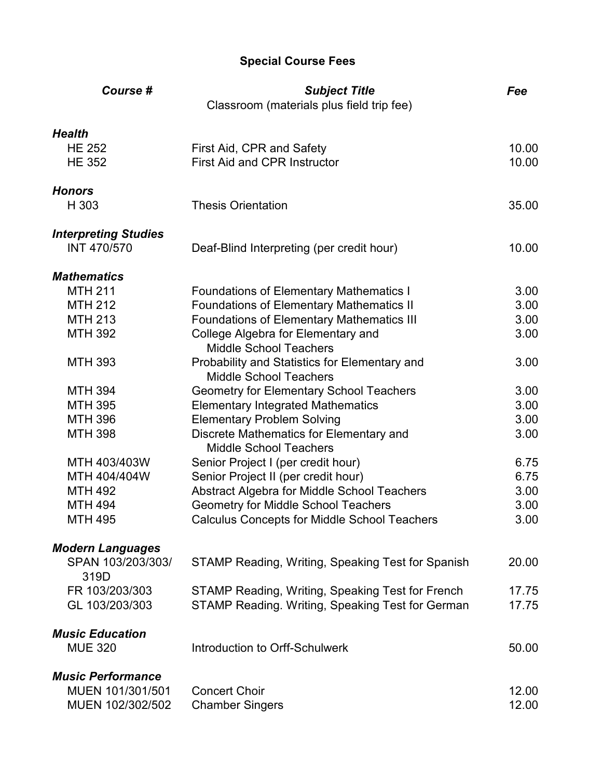| Course #                    | <b>Subject Title</b><br>Classroom (materials plus field trip fee)              | Fee   |
|-----------------------------|--------------------------------------------------------------------------------|-------|
| <b>Health</b>               |                                                                                |       |
| <b>HE 252</b>               | First Aid, CPR and Safety                                                      | 10.00 |
| <b>HE 352</b>               | <b>First Aid and CPR Instructor</b>                                            | 10.00 |
| <b>Honors</b>               |                                                                                |       |
| H 303                       | <b>Thesis Orientation</b>                                                      | 35.00 |
| <b>Interpreting Studies</b> |                                                                                |       |
| <b>INT 470/570</b>          | Deaf-Blind Interpreting (per credit hour)                                      | 10.00 |
| <b>Mathematics</b>          |                                                                                |       |
| <b>MTH 211</b>              | <b>Foundations of Elementary Mathematics I</b>                                 | 3.00  |
| <b>MTH 212</b>              | <b>Foundations of Elementary Mathematics II</b>                                | 3.00  |
| <b>MTH 213</b>              | <b>Foundations of Elementary Mathematics III</b>                               | 3.00  |
| <b>MTH 392</b>              | College Algebra for Elementary and<br><b>Middle School Teachers</b>            | 3.00  |
| <b>MTH 393</b>              | Probability and Statistics for Elementary and<br><b>Middle School Teachers</b> | 3.00  |
| <b>MTH 394</b>              | <b>Geometry for Elementary School Teachers</b>                                 | 3.00  |
| <b>MTH 395</b>              | <b>Elementary Integrated Mathematics</b>                                       | 3.00  |
| <b>MTH 396</b>              | <b>Elementary Problem Solving</b>                                              | 3.00  |
| <b>MTH 398</b>              | Discrete Mathematics for Elementary and                                        | 3.00  |
|                             | <b>Middle School Teachers</b>                                                  |       |
| MTH 403/403W                | Senior Project I (per credit hour)                                             | 6.75  |
| MTH 404/404W                | Senior Project II (per credit hour)                                            | 6.75  |
| <b>MTH 492</b>              | Abstract Algebra for Middle School Teachers                                    | 3.00  |
| <b>MTH 494</b>              | <b>Geometry for Middle School Teachers</b>                                     | 3.00  |
| <b>MTH 495</b>              | <b>Calculus Concepts for Middle School Teachers</b>                            | 3.00  |
| <b>Modern Languages</b>     |                                                                                |       |
| SPAN 103/203/303/<br>319D   | STAMP Reading, Writing, Speaking Test for Spanish                              | 20.00 |
| FR 103/203/303              | STAMP Reading, Writing, Speaking Test for French                               | 17.75 |
| GL 103/203/303              | STAMP Reading. Writing, Speaking Test for German                               | 17.75 |
| <b>Music Education</b>      |                                                                                |       |
| <b>MUE 320</b>              | Introduction to Orff-Schulwerk                                                 | 50.00 |
| <b>Music Performance</b>    |                                                                                |       |
| MUEN 101/301/501            | <b>Concert Choir</b>                                                           | 12.00 |
| MUEN 102/302/502            | <b>Chamber Singers</b>                                                         | 12.00 |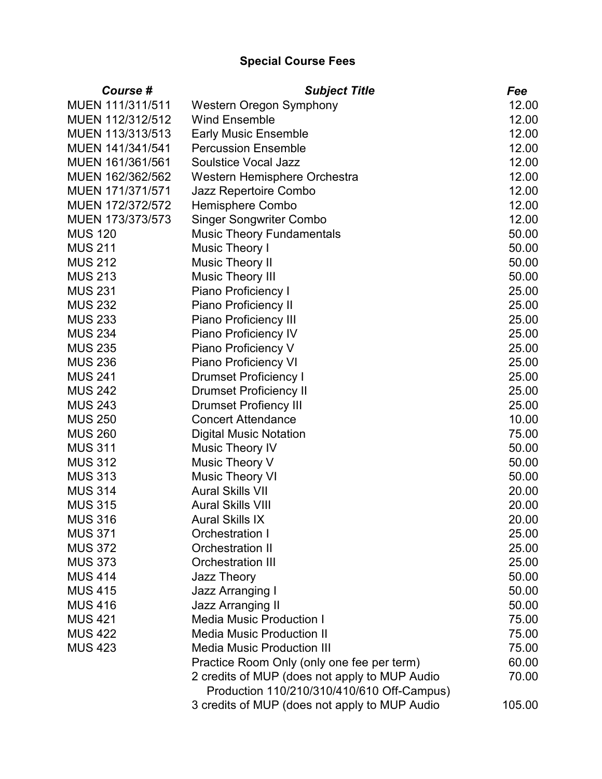| <b>Course #</b>  | <b>Subject Title</b>                          | Fee    |
|------------------|-----------------------------------------------|--------|
| MUEN 111/311/511 | <b>Western Oregon Symphony</b>                | 12.00  |
| MUEN 112/312/512 | <b>Wind Ensemble</b>                          | 12.00  |
| MUEN 113/313/513 | <b>Early Music Ensemble</b>                   | 12.00  |
| MUEN 141/341/541 | <b>Percussion Ensemble</b>                    | 12.00  |
| MUEN 161/361/561 | <b>Soulstice Vocal Jazz</b>                   | 12.00  |
| MUEN 162/362/562 | Western Hemisphere Orchestra                  | 12.00  |
| MUEN 171/371/571 | Jazz Repertoire Combo                         | 12.00  |
| MUEN 172/372/572 | <b>Hemisphere Combo</b>                       | 12.00  |
| MUEN 173/373/573 | <b>Singer Songwriter Combo</b>                | 12.00  |
| <b>MUS 120</b>   | <b>Music Theory Fundamentals</b>              | 50.00  |
| <b>MUS 211</b>   | Music Theory I                                | 50.00  |
| <b>MUS 212</b>   | <b>Music Theory II</b>                        | 50.00  |
| <b>MUS 213</b>   | <b>Music Theory III</b>                       | 50.00  |
| <b>MUS 231</b>   | Piano Proficiency I                           | 25.00  |
| <b>MUS 232</b>   | Piano Proficiency II                          | 25.00  |
| <b>MUS 233</b>   | <b>Piano Proficiency III</b>                  | 25.00  |
| <b>MUS 234</b>   | Piano Proficiency IV                          | 25.00  |
| <b>MUS 235</b>   | Piano Proficiency V                           | 25.00  |
| <b>MUS 236</b>   | <b>Piano Proficiency VI</b>                   | 25.00  |
| <b>MUS 241</b>   | <b>Drumset Proficiency I</b>                  | 25.00  |
| <b>MUS 242</b>   | <b>Drumset Proficiency II</b>                 | 25.00  |
| <b>MUS 243</b>   | <b>Drumset Profiency III</b>                  | 25.00  |
| <b>MUS 250</b>   | <b>Concert Attendance</b>                     | 10.00  |
| <b>MUS 260</b>   | <b>Digital Music Notation</b>                 | 75.00  |
| <b>MUS 311</b>   | <b>Music Theory IV</b>                        | 50.00  |
| <b>MUS 312</b>   | Music Theory V                                | 50.00  |
| <b>MUS 313</b>   | <b>Music Theory VI</b>                        | 50.00  |
| <b>MUS 314</b>   | <b>Aural Skills VII</b>                       | 20.00  |
| <b>MUS 315</b>   | <b>Aural Skills VIII</b>                      | 20.00  |
| <b>MUS 316</b>   | <b>Aural Skills IX</b>                        | 20.00  |
| <b>MUS 371</b>   | Orchestration I                               | 25.00  |
| <b>MUS 372</b>   | <b>Orchestration II</b>                       | 25.00  |
| <b>MUS 373</b>   | <b>Orchestration III</b>                      | 25.00  |
| <b>MUS 414</b>   | Jazz Theory                                   | 50.00  |
| <b>MUS 415</b>   | <b>Jazz Arranging I</b>                       | 50.00  |
| <b>MUS 416</b>   | <b>Jazz Arranging II</b>                      | 50.00  |
| <b>MUS 421</b>   | <b>Media Music Production I</b>               | 75.00  |
| <b>MUS 422</b>   | <b>Media Music Production II</b>              | 75.00  |
| <b>MUS 423</b>   | <b>Media Music Production III</b>             | 75.00  |
|                  | Practice Room Only (only one fee per term)    | 60.00  |
|                  | 2 credits of MUP (does not apply to MUP Audio | 70.00  |
|                  | Production 110/210/310/410/610 Off-Campus)    |        |
|                  | 3 credits of MUP (does not apply to MUP Audio | 105.00 |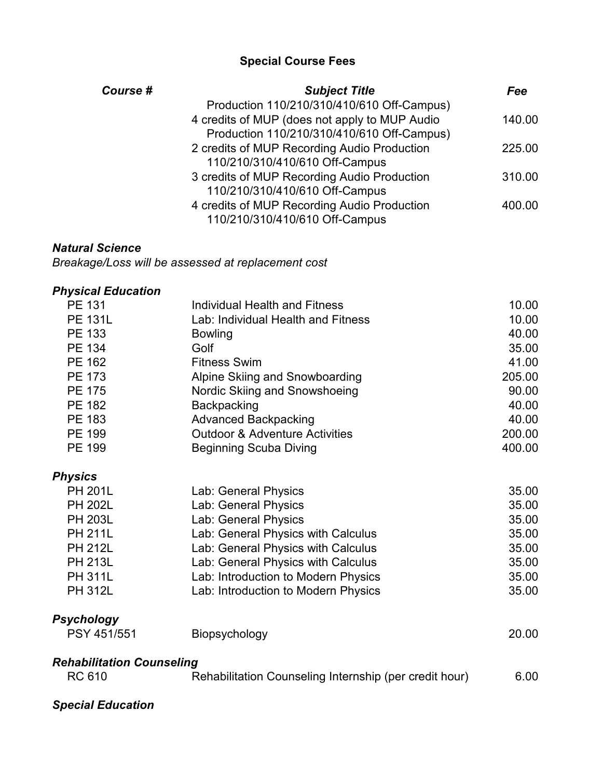| Course # | <b>Subject Title</b>                          | Fee    |
|----------|-----------------------------------------------|--------|
|          | Production 110/210/310/410/610 Off-Campus)    |        |
|          | 4 credits of MUP (does not apply to MUP Audio | 140.00 |
|          | Production 110/210/310/410/610 Off-Campus)    |        |
|          | 2 credits of MUP Recording Audio Production   | 225.00 |
|          | 110/210/310/410/610 Off-Campus                |        |
|          | 3 credits of MUP Recording Audio Production   | 310.00 |
|          | 110/210/310/410/610 Off-Campus                |        |
|          | 4 credits of MUP Recording Audio Production   | 400.00 |
|          | 110/210/310/410/610 Off-Campus                |        |

#### *Natural Science*

*Breakage/Loss will be assessed at replacement cost*

## *Physical Education*

| <b>PE 131</b>                    | Individual Health and Fitness                          | 10.00  |
|----------------------------------|--------------------------------------------------------|--------|
| <b>PE 131L</b>                   | Lab: Individual Health and Fitness                     | 10.00  |
| PE 133                           | <b>Bowling</b>                                         | 40.00  |
| <b>PE 134</b>                    | Golf                                                   | 35.00  |
| PE 162                           | <b>Fitness Swim</b>                                    | 41.00  |
| <b>PE 173</b>                    | Alpine Skiing and Snowboarding                         | 205.00 |
| <b>PE 175</b>                    | Nordic Skiing and Snowshoeing                          | 90.00  |
| PE 182                           | Backpacking                                            | 40.00  |
| PE 183                           | <b>Advanced Backpacking</b>                            | 40.00  |
| <b>PE 199</b>                    | <b>Outdoor &amp; Adventure Activities</b>              | 200.00 |
| <b>PE 199</b>                    | <b>Beginning Scuba Diving</b>                          | 400.00 |
| <b>Physics</b>                   |                                                        |        |
| <b>PH 201L</b>                   | Lab: General Physics                                   | 35.00  |
| <b>PH 202L</b>                   | Lab: General Physics                                   | 35.00  |
| <b>PH 203L</b>                   | Lab: General Physics                                   | 35.00  |
| <b>PH 211L</b>                   | Lab: General Physics with Calculus                     | 35.00  |
| <b>PH 212L</b>                   | Lab: General Physics with Calculus                     | 35.00  |
| <b>PH 213L</b>                   | Lab: General Physics with Calculus                     | 35.00  |
| <b>PH 311L</b>                   | Lab: Introduction to Modern Physics                    | 35.00  |
| <b>PH 312L</b>                   | Lab: Introduction to Modern Physics                    | 35.00  |
| <b>Psychology</b>                |                                                        |        |
| PSY 451/551                      | Biopsychology                                          | 20.00  |
| <b>Rehabilitation Counseling</b> |                                                        |        |
| <b>RC 610</b>                    | Rehabilitation Counseling Internship (per credit hour) | 6.00   |

## *Special Education*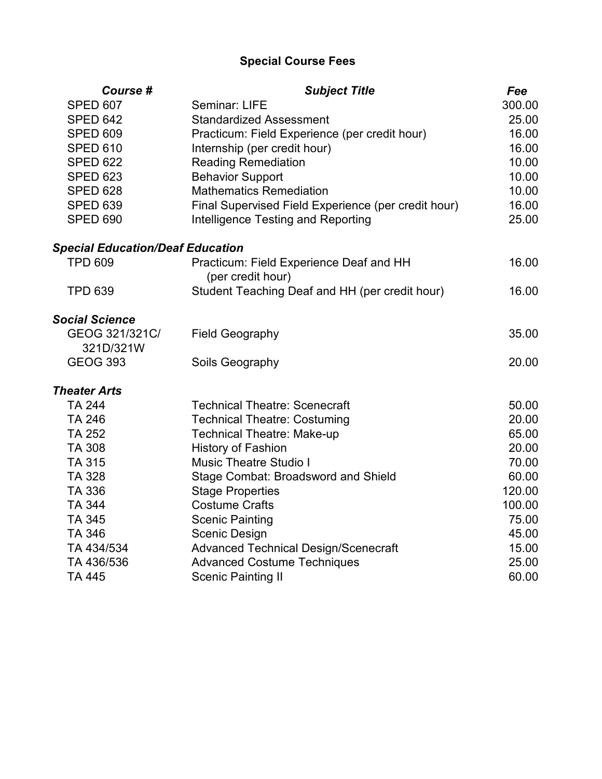| Course #                                | <b>Subject Title</b>                                         | Fee    |
|-----------------------------------------|--------------------------------------------------------------|--------|
| <b>SPED 607</b>                         | Seminar: LIFE                                                | 300.00 |
| <b>SPED 642</b>                         | <b>Standardized Assessment</b>                               | 25.00  |
| <b>SPED 609</b>                         | Practicum: Field Experience (per credit hour)                | 16.00  |
| <b>SPED 610</b>                         | Internship (per credit hour)                                 | 16.00  |
| <b>SPED 622</b>                         | <b>Reading Remediation</b>                                   | 10.00  |
| <b>SPED 623</b>                         | <b>Behavior Support</b>                                      | 10.00  |
| <b>SPED 628</b>                         | <b>Mathematics Remediation</b>                               | 10.00  |
| <b>SPED 639</b>                         | Final Supervised Field Experience (per credit hour)          | 16.00  |
| <b>SPED 690</b>                         | Intelligence Testing and Reporting                           | 25.00  |
| <b>Special Education/Deaf Education</b> |                                                              |        |
| <b>TPD 609</b>                          | Practicum: Field Experience Deaf and HH<br>(per credit hour) | 16.00  |
| <b>TPD 639</b>                          | Student Teaching Deaf and HH (per credit hour)               | 16.00  |
| <b>Social Science</b>                   |                                                              |        |
| GEOG 321/321C/                          | <b>Field Geography</b>                                       | 35.00  |
| 321D/321W                               |                                                              |        |
| <b>GEOG 393</b>                         | Soils Geography                                              | 20.00  |
| <b>Theater Arts</b>                     |                                                              |        |
| <b>TA 244</b>                           | <b>Technical Theatre: Scenecraft</b>                         | 50.00  |
| <b>TA 246</b>                           | <b>Technical Theatre: Costuming</b>                          | 20.00  |
| <b>TA 252</b>                           | <b>Technical Theatre: Make-up</b>                            | 65.00  |
| <b>TA 308</b>                           | <b>History of Fashion</b>                                    | 20.00  |
| <b>TA 315</b>                           | <b>Music Theatre Studio I</b>                                | 70.00  |
| TA 328                                  | <b>Stage Combat: Broadsword and Shield</b>                   | 60.00  |
| TA 336                                  | <b>Stage Properties</b>                                      | 120.00 |
| <b>TA 344</b>                           | <b>Costume Crafts</b>                                        | 100.00 |
| TA 345                                  | <b>Scenic Painting</b>                                       | 75.00  |
| <b>TA 346</b>                           | <b>Scenic Design</b>                                         | 45.00  |
| TA 434/534                              | <b>Advanced Technical Design/Scenecraft</b>                  | 15.00  |
| TA 436/536                              | <b>Advanced Costume Techniques</b>                           | 25.00  |
| <b>TA 445</b>                           | <b>Scenic Painting II</b>                                    | 60.00  |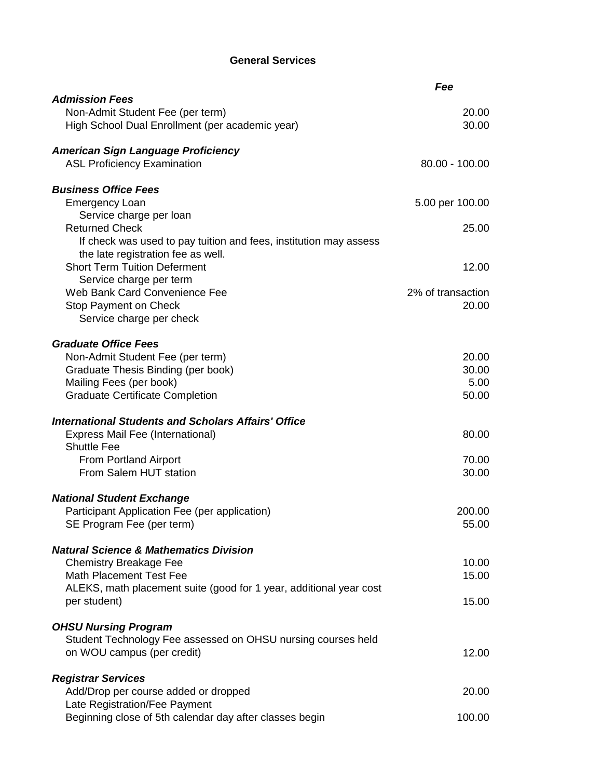#### **General Services**

|                                                                    | Fee               |  |
|--------------------------------------------------------------------|-------------------|--|
| <b>Admission Fees</b>                                              |                   |  |
| Non-Admit Student Fee (per term)                                   | 20.00             |  |
| High School Dual Enrollment (per academic year)                    | 30.00             |  |
|                                                                    |                   |  |
| <b>American Sign Language Proficiency</b>                          |                   |  |
| <b>ASL Proficiency Examination</b>                                 | 80.00 - 100.00    |  |
|                                                                    |                   |  |
| <b>Business Office Fees</b>                                        |                   |  |
| <b>Emergency Loan</b>                                              | 5.00 per 100.00   |  |
| Service charge per loan                                            |                   |  |
| <b>Returned Check</b>                                              | 25.00             |  |
| If check was used to pay tuition and fees, institution may assess  |                   |  |
| the late registration fee as well.                                 |                   |  |
| <b>Short Term Tuition Deferment</b>                                | 12.00             |  |
| Service charge per term                                            |                   |  |
| Web Bank Card Convenience Fee                                      | 2% of transaction |  |
| Stop Payment on Check                                              | 20.00             |  |
| Service charge per check                                           |                   |  |
| <b>Graduate Office Fees</b>                                        |                   |  |
| Non-Admit Student Fee (per term)                                   | 20.00             |  |
| Graduate Thesis Binding (per book)                                 | 30.00             |  |
| Mailing Fees (per book)                                            | 5.00              |  |
| <b>Graduate Certificate Completion</b>                             | 50.00             |  |
|                                                                    |                   |  |
| <b>International Students and Scholars Affairs' Office</b>         |                   |  |
| Express Mail Fee (International)                                   | 80.00             |  |
| <b>Shuttle Fee</b>                                                 |                   |  |
| From Portland Airport                                              | 70.00             |  |
| From Salem HUT station                                             | 30.00             |  |
|                                                                    |                   |  |
| <b>National Student Exchange</b>                                   |                   |  |
| Participant Application Fee (per application)                      | 200.00            |  |
| SE Program Fee (per term)                                          | 55.00             |  |
|                                                                    |                   |  |
| <b>Natural Science &amp; Mathematics Division</b>                  |                   |  |
| <b>Chemistry Breakage Fee</b>                                      | 10.00             |  |
| <b>Math Placement Test Fee</b>                                     | 15.00             |  |
| ALEKS, math placement suite (good for 1 year, additional year cost |                   |  |
| per student)                                                       | 15.00             |  |
|                                                                    |                   |  |
| <b>OHSU Nursing Program</b>                                        |                   |  |
| Student Technology Fee assessed on OHSU nursing courses held       |                   |  |
| on WOU campus (per credit)                                         | 12.00             |  |
|                                                                    |                   |  |
| <b>Registrar Services</b>                                          |                   |  |
| Add/Drop per course added or dropped                               | 20.00             |  |
| Late Registration/Fee Payment                                      |                   |  |
| Beginning close of 5th calendar day after classes begin            | 100.00            |  |